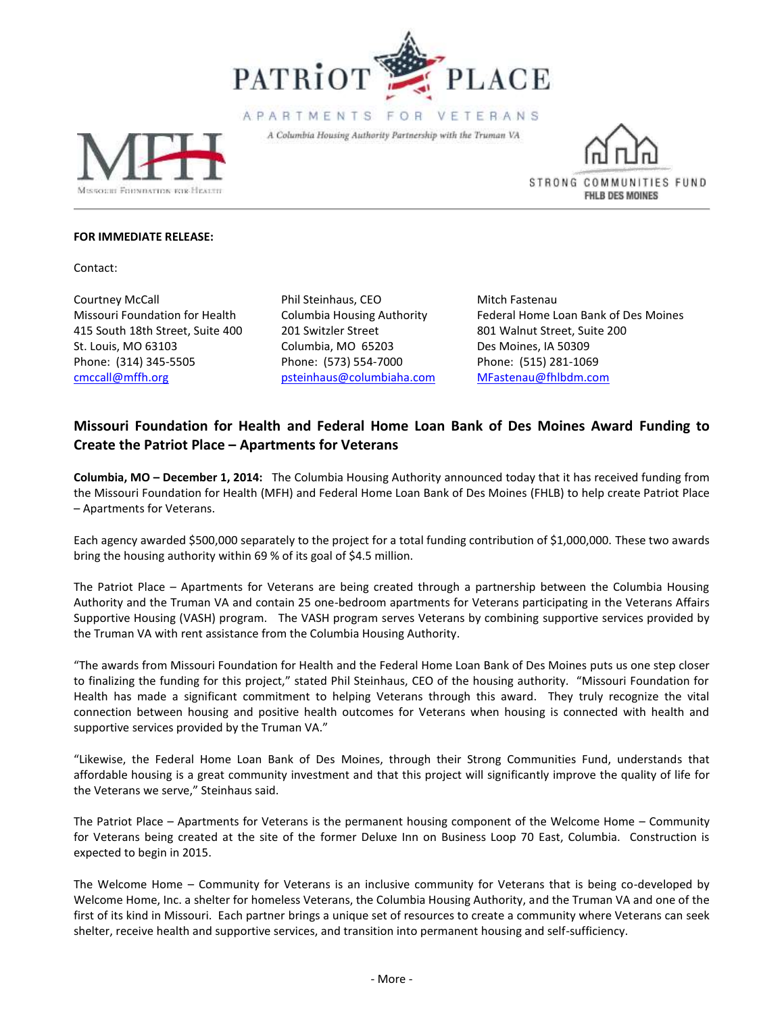

APARTMENTS FOR VETERANS

A Columbia Housing Authority Partnership with the Truman VA





## **FOR IMMEDIATE RELEASE:**

Contact:

Courtney McCall Phil Steinhaus, CEO Mitch Fastenau 415 South 18th Street, Suite 400 201 Switzler Street 801 Walnut Street, Suite 200 St. Louis, MO 63103 Columbia, MO 65203 Des Moines, IA 50309 Phone: (314) 345-5505 Phone: (573) 554-7000 Phone: (515) 281-1069 cmccall@mffh.org [psteinhaus@columbiaha.com](mailto:psteinhaus@columbiaha.com) [MFastenau@fhlbdm.com](mailto:MFastenau@fhlbdm.com)

Missouri Foundation for Health Columbia Housing Authority Federal Home Loan Bank of Des Moines

## **Missouri Foundation for Health and Federal Home Loan Bank of Des Moines Award Funding to Create the Patriot Place – Apartments for Veterans**

**Columbia, MO – December 1, 2014:** The Columbia Housing Authority announced today that it has received funding from the Missouri Foundation for Health (MFH) and Federal Home Loan Bank of Des Moines (FHLB) to help create Patriot Place – Apartments for Veterans.

Each agency awarded \$500,000 separately to the project for a total funding contribution of \$1,000,000. These two awards bring the housing authority within 69 % of its goal of \$4.5 million.

The Patriot Place – Apartments for Veterans are being created through a partnership between the Columbia Housing Authority and the Truman VA and contain 25 one-bedroom apartments for Veterans participating in the Veterans Affairs Supportive Housing (VASH) program. The VASH program serves Veterans by combining supportive services provided by the Truman VA with rent assistance from the Columbia Housing Authority.

"The awards from Missouri Foundation for Health and the Federal Home Loan Bank of Des Moines puts us one step closer to finalizing the funding for this project," stated Phil Steinhaus, CEO of the housing authority. "Missouri Foundation for Health has made a significant commitment to helping Veterans through this award. They truly recognize the vital connection between housing and positive health outcomes for Veterans when housing is connected with health and supportive services provided by the Truman VA."

"Likewise, the Federal Home Loan Bank of Des Moines, through their Strong Communities Fund, understands that affordable housing is a great community investment and that this project will significantly improve the quality of life for the Veterans we serve," Steinhaus said.

The Patriot Place – Apartments for Veterans is the permanent housing component of the Welcome Home – Community for Veterans being created at the site of the former Deluxe Inn on Business Loop 70 East, Columbia. Construction is expected to begin in 2015.

The Welcome Home – Community for Veterans is an inclusive community for Veterans that is being co-developed by Welcome Home, Inc. a shelter for homeless Veterans, the Columbia Housing Authority, and the Truman VA and one of the first of its kind in Missouri. Each partner brings a unique set of resources to create a community where Veterans can seek shelter, receive health and supportive services, and transition into permanent housing and self-sufficiency.